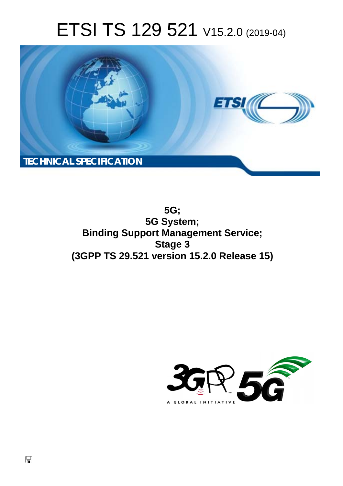# ETSI TS 129 521 V15.2.0 (2019-04)



**5G; 5G System; Binding Support Management Service; Stage 3 (3GPP TS 29.521 version 15.2.0 Release 15)** 

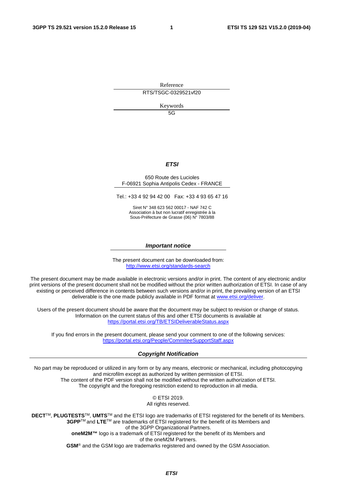Reference

RTS/TSGC-0329521vf20

Keywords

5G

#### *ETSI*

#### 650 Route des Lucioles F-06921 Sophia Antipolis Cedex - FRANCE

Tel.: +33 4 92 94 42 00 Fax: +33 4 93 65 47 16

Siret N° 348 623 562 00017 - NAF 742 C Association à but non lucratif enregistrée à la Sous-Préfecture de Grasse (06) N° 7803/88

#### *Important notice*

The present document can be downloaded from: <http://www.etsi.org/standards-search>

The present document may be made available in electronic versions and/or in print. The content of any electronic and/or print versions of the present document shall not be modified without the prior written authorization of ETSI. In case of any existing or perceived difference in contents between such versions and/or in print, the prevailing version of an ETSI deliverable is the one made publicly available in PDF format at [www.etsi.org/deliver](http://www.etsi.org/deliver).

Users of the present document should be aware that the document may be subject to revision or change of status. Information on the current status of this and other ETSI documents is available at <https://portal.etsi.org/TB/ETSIDeliverableStatus.aspx>

If you find errors in the present document, please send your comment to one of the following services: <https://portal.etsi.org/People/CommiteeSupportStaff.aspx>

#### *Copyright Notification*

No part may be reproduced or utilized in any form or by any means, electronic or mechanical, including photocopying and microfilm except as authorized by written permission of ETSI. The content of the PDF version shall not be modified without the written authorization of ETSI. The copyright and the foregoing restriction extend to reproduction in all media.

> © ETSI 2019. All rights reserved.

**DECT**TM, **PLUGTESTS**TM, **UMTS**TM and the ETSI logo are trademarks of ETSI registered for the benefit of its Members. **3GPP**TM and **LTE**TM are trademarks of ETSI registered for the benefit of its Members and of the 3GPP Organizational Partners. **oneM2M™** logo is a trademark of ETSI registered for the benefit of its Members and of the oneM2M Partners. **GSM**® and the GSM logo are trademarks registered and owned by the GSM Association.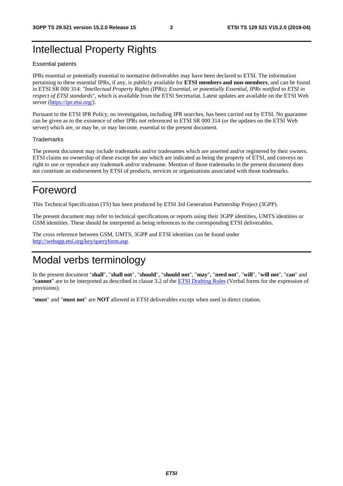## Intellectual Property Rights

#### Essential patents

IPRs essential or potentially essential to normative deliverables may have been declared to ETSI. The information pertaining to these essential IPRs, if any, is publicly available for **ETSI members and non-members**, and can be found in ETSI SR 000 314: *"Intellectual Property Rights (IPRs); Essential, or potentially Essential, IPRs notified to ETSI in respect of ETSI standards"*, which is available from the ETSI Secretariat. Latest updates are available on the ETSI Web server ([https://ipr.etsi.org/\)](https://ipr.etsi.org/).

Pursuant to the ETSI IPR Policy, no investigation, including IPR searches, has been carried out by ETSI. No guarantee can be given as to the existence of other IPRs not referenced in ETSI SR 000 314 (or the updates on the ETSI Web server) which are, or may be, or may become, essential to the present document.

#### **Trademarks**

The present document may include trademarks and/or tradenames which are asserted and/or registered by their owners. ETSI claims no ownership of these except for any which are indicated as being the property of ETSI, and conveys no right to use or reproduce any trademark and/or tradename. Mention of those trademarks in the present document does not constitute an endorsement by ETSI of products, services or organizations associated with those trademarks.

## Foreword

This Technical Specification (TS) has been produced by ETSI 3rd Generation Partnership Project (3GPP).

The present document may refer to technical specifications or reports using their 3GPP identities, UMTS identities or GSM identities. These should be interpreted as being references to the corresponding ETSI deliverables.

The cross reference between GSM, UMTS, 3GPP and ETSI identities can be found under [http://webapp.etsi.org/key/queryform.asp.](http://webapp.etsi.org/key/queryform.asp)

## Modal verbs terminology

In the present document "**shall**", "**shall not**", "**should**", "**should not**", "**may**", "**need not**", "**will**", "**will not**", "**can**" and "**cannot**" are to be interpreted as described in clause 3.2 of the [ETSI Drafting Rules](https://portal.etsi.org/Services/editHelp!/Howtostart/ETSIDraftingRules.aspx) (Verbal forms for the expression of provisions).

"**must**" and "**must not**" are **NOT** allowed in ETSI deliverables except when used in direct citation.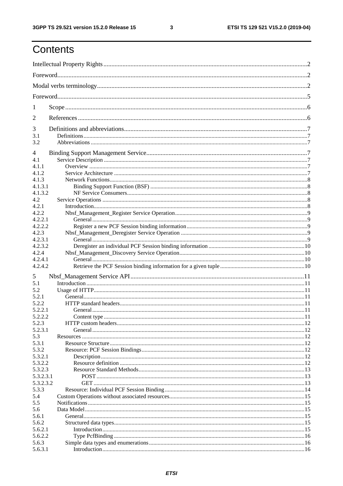$\mathbf{3}$ 

## Contents

| 1         |  |
|-----------|--|
| 2         |  |
| 3         |  |
| 3.1       |  |
| 3.2       |  |
| 4         |  |
| 4.1       |  |
| 4.1.1     |  |
| 4.1.2     |  |
| 4.1.3     |  |
| 4.1.3.1   |  |
| 4.1.3.2   |  |
| 4.2       |  |
| 4.2.1     |  |
| 4.2.2     |  |
| 4.2.2.1   |  |
| 4.2.2.2   |  |
| 4.2.3     |  |
| 4.2.3.1   |  |
| 4.2.3.2   |  |
| 4.2.4     |  |
| 4.2.4.1   |  |
| 4.2.4.2   |  |
|           |  |
| 5         |  |
| 5.1       |  |
| 5.2       |  |
| 5.2.1     |  |
| 5.2.2     |  |
| 5.2.2.1   |  |
| 5.2.2.2   |  |
| 5.2.3     |  |
| 5.2.3.1   |  |
| 5.3       |  |
| 5.3.1     |  |
| 5.3.2     |  |
| 5.3.2.1   |  |
| 5.3.2.2   |  |
| 5.3.2.3   |  |
| 5.3.2.3.1 |  |
| 5.3.2.3.2 |  |
| 5.3.3     |  |
| 5.4       |  |
| 5.5       |  |
| 5.6       |  |
| 5.6.1     |  |
| 5.6.2     |  |
| 5.6.2.1   |  |
| 5.6.2.2   |  |
| 5.6.3     |  |
| 5.6.3.1   |  |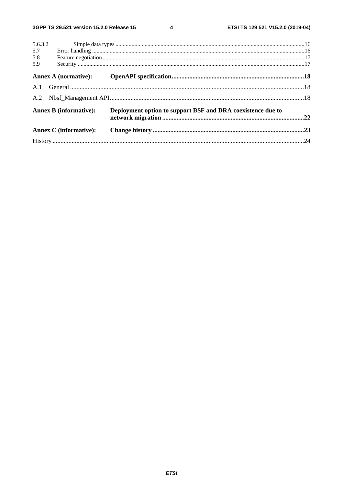$\overline{\mathbf{4}}$ 

| 5.6.3.2 |                               |                                                             |  |
|---------|-------------------------------|-------------------------------------------------------------|--|
| 5.7     |                               |                                                             |  |
| 5.8     |                               |                                                             |  |
| 5.9     |                               |                                                             |  |
|         |                               |                                                             |  |
|         |                               |                                                             |  |
|         |                               |                                                             |  |
|         | <b>Annex B</b> (informative): | Deployment option to support BSF and DRA coexistence due to |  |
|         | <b>Annex C</b> (informative): |                                                             |  |
|         |                               |                                                             |  |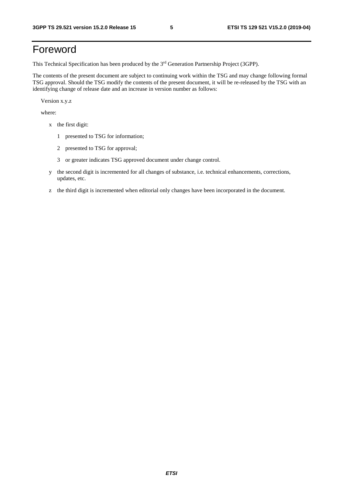## Foreword

This Technical Specification has been produced by the 3rd Generation Partnership Project (3GPP).

The contents of the present document are subject to continuing work within the TSG and may change following formal TSG approval. Should the TSG modify the contents of the present document, it will be re-released by the TSG with an identifying change of release date and an increase in version number as follows:

Version x.y.z

where:

- x the first digit:
	- 1 presented to TSG for information;
	- 2 presented to TSG for approval;
	- 3 or greater indicates TSG approved document under change control.
- y the second digit is incremented for all changes of substance, i.e. technical enhancements, corrections, updates, etc.
- z the third digit is incremented when editorial only changes have been incorporated in the document.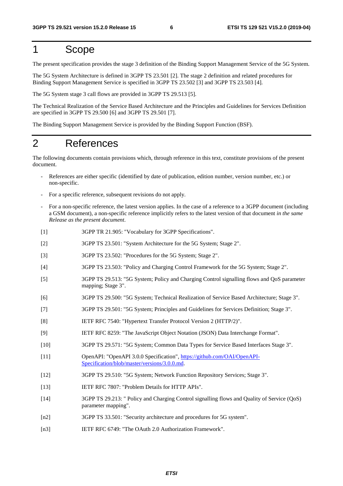## 1 Scope

The present specification provides the stage 3 definition of the Binding Support Management Service of the 5G System.

The 5G System Architecture is defined in 3GPP TS 23.501 [2]. The stage 2 definition and related procedures for Binding Support Management Service is specified in 3GPP TS 23.502 [3] and 3GPP TS 23.503 [4].

The 5G System stage 3 call flows are provided in 3GPP TS 29.513 [5].

The Technical Realization of the Service Based Architecture and the Principles and Guidelines for Services Definition are specified in 3GPP TS 29.500 [6] and 3GPP TS 29.501 [7].

The Binding Support Management Service is provided by the Binding Support Function (BSF).

## 2 References

The following documents contain provisions which, through reference in this text, constitute provisions of the present document.

- References are either specific (identified by date of publication, edition number, version number, etc.) or non-specific.
- For a specific reference, subsequent revisions do not apply.
- For a non-specific reference, the latest version applies. In the case of a reference to a 3GPP document (including a GSM document), a non-specific reference implicitly refers to the latest version of that document *in the same Release as the present document*.
- [1] 3GPP TR 21.905: "Vocabulary for 3GPP Specifications".
- [2] 3GPP TS 23.501: "System Architecture for the 5G System; Stage 2".
- [3] 3GPP TS 23.502: "Procedures for the 5G System; Stage 2".
- [4] 3GPP TS 23.503: "Policy and Charging Control Framework for the 5G System; Stage 2".
- [5] 3GPP TS 29.513: "5G System; Policy and Charging Control signalling flows and QoS parameter mapping; Stage 3".
- [6] 3GPP TS 29.500: "5G System; Technical Realization of Service Based Architecture; Stage 3".
- [7] 3GPP TS 29.501: "5G System; Principles and Guidelines for Services Definition; Stage 3".
- [8] IETF RFC 7540: "Hypertext Transfer Protocol Version 2 (HTTP/2)".
- [9] IETF RFC 8259: "The JavaScript Object Notation (JSON) Data Interchange Format".
- [10] 3GPP TS 29.571: "5G System; Common Data Types for Service Based Interfaces Stage 3".
- [11] OpenAPI: "OpenAPI 3.0.0 Specification", [https://github.com/OAI/OpenAPI](https://github.com/OAI/OpenAPI-Specification/blob/master/versions/3.0.0.md)-[Specification/blob/master/versions/3.0.0.md](https://github.com/OAI/OpenAPI-Specification/blob/master/versions/3.0.0.md).
- [12] 3GPP TS 29.510: "5G System; Network Function Repository Services; Stage 3".
- [13] IETF RFC 7807: "Problem Details for HTTP APIs".
- [14] 3GPP TS 29.213: " Policy and Charging Control signalling flows and Quality of Service (QoS) parameter mapping".
- [n2] 3GPP TS 33.501: "Security architecture and procedures for 5G system".
- [n3] IETF RFC 6749: "The OAuth 2.0 Authorization Framework".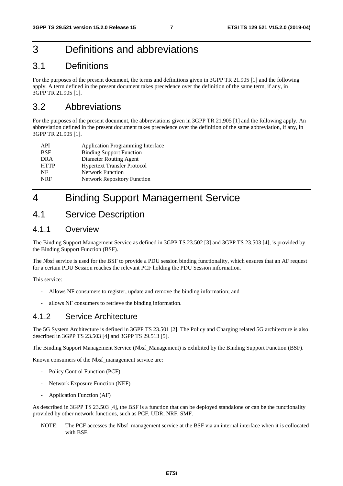## 3 Definitions and abbreviations

## 3.1 Definitions

For the purposes of the present document, the terms and definitions given in 3GPP TR 21.905 [1] and the following apply. A term defined in the present document takes precedence over the definition of the same term, if any, in 3GPP TR 21.905 [1].

## 3.2 Abbreviations

For the purposes of the present document, the abbreviations given in 3GPP TR 21.905 [1] and the following apply. An abbreviation defined in the present document takes precedence over the definition of the same abbreviation, if any, in 3GPP TR 21.905 [1].

| API         | <b>Application Programming Interface</b> |
|-------------|------------------------------------------|
| <b>BSF</b>  | <b>Binding Support Function</b>          |
| DR A        | Diameter Routing Agent                   |
| <b>HTTP</b> | <b>Hypertext Transfer Protocol</b>       |
| NF          | <b>Network Function</b>                  |
| <b>NRF</b>  | <b>Network Repository Function</b>       |
|             |                                          |

## 4 Binding Support Management Service

## 4.1 Service Description

#### 4.1.1 Overview

The Binding Support Management Service as defined in 3GPP TS 23.502 [3] and 3GPP TS 23.503 [4], is provided by the Binding Support Function (BSF).

The Nbsf service is used for the BSF to provide a PDU session binding functionality, which ensures that an AF request for a certain PDU Session reaches the relevant PCF holding the PDU Session information.

This service:

- Allows NF consumers to register, update and remove the binding information; and
- allows NF consumers to retrieve the binding information.

### 4.1.2 Service Architecture

The 5G System Architecture is defined in 3GPP TS 23.501 [2]. The Policy and Charging related 5G architecture is also described in 3GPP TS 23.503 [4] and 3GPP TS 29.513 [5].

The Binding Support Management Service (Nbsf\_Management) is exhibited by the Binding Support Function (BSF).

Known consumers of the Nbsf\_management service are:

- Policy Control Function (PCF)
- Network Exposure Function (NEF)
- Application Function (AF)

As described in 3GPP TS 23.503 [4], the BSF is a function that can be deployed standalone or can be the functionality provided by other network functions, such as PCF, UDR, NRF, SMF.

NOTE: The PCF accesses the Nbsf\_management service at the BSF via an internal interface when it is collocated with BSF.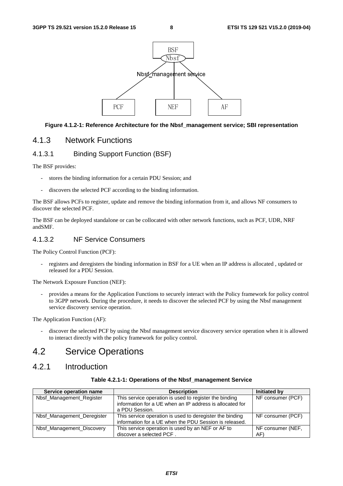

#### **Figure 4.1.2-1: Reference Architecture for the Nbsf\_management service; SBI representation**

#### 4.1.3 Network Functions

#### 4.1.3.1 Binding Support Function (BSF)

The BSF provides:

- stores the binding information for a certain PDU Session; and
- discovers the selected PCF according to the binding information.

The BSF allows PCFs to register, update and remove the binding information from it, and allows NF consumers to discover the selected PCF.

The BSF can be deployed standalone or can be collocated with other network functions, such as PCF, UDR, NRF andSMF.

#### 4.1.3.2 NF Service Consumers

The Policy Control Function (PCF):

registers and deregisters the binding information in BSF for a UE when an IP address is allocated, updated or released for a PDU Session.

The Network Exposure Function (NEF):

- provides a means for the Application Functions to securely interact with the Policy framework for policy control to 3GPP network. During the procedure, it needs to discover the selected PCF by using the Nbsf management service discovery service operation.

The Application Function (AF):

discover the selected PCF by using the Nbsf management service discovery service operation when it is allowed to interact directly with the policy framework for policy control.

## 4.2 Service Operations

### 4.2.1 Introduction

| Table 4.2.1-1: Operations of the Nbsf_management Service |  |
|----------------------------------------------------------|--|
|                                                          |  |

| Service operation name     | <b>Description</b>                                       | <b>Initiated by</b> |
|----------------------------|----------------------------------------------------------|---------------------|
| Nbsf_Management_Register   | This service operation is used to register the binding   | NF consumer (PCF)   |
|                            | information for a UE when an IP address is allocated for |                     |
|                            | a PDU Session.                                           |                     |
| Nbsf Management Deregister | This service operation is used to deregister the binding | NF consumer (PCF)   |
|                            | information for a UE when the PDU Session is released.   |                     |
| Nbsf_Management_Discovery  | This service operation is used by an NEF or AF to        | NF consumer (NEF,   |
|                            | discover a selected PCF                                  | AF)                 |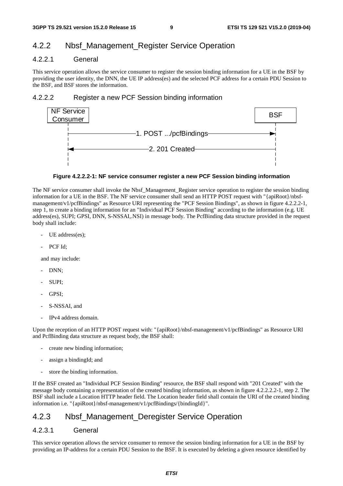### 4.2.2 Nbsf\_Management\_Register Service Operation

#### 4.2.2.1 General

This service operation allows the service consumer to register the session binding information for a UE in the BSF by providing the user identity, the DNN, the UE IP address(es) and the selected PCF address for a certain PDU Session to the BSF, and BSF stores the information.

#### 4.2.2.2 Register a new PCF Session binding information



#### **Figure 4.2.2.2-1: NF service consumer register a new PCF Session binding information**

The NF service consumer shall invoke the Nbsf\_Management\_Register service operation to register the session binding information for a UE in the BSF. The NF service consumer shall send an HTTP POST request with "{apiRoot}/nbsfmanagement/v1/pcfBindings" as Resource URI representing the "PCF Session Bindings", as shown in figure 4.2.2.2-1, step 1, to create a binding information for an "Individual PCF Session Binding" according to the information (e.g. UE address(es), SUPI; GPSI, DNN, S-NSSAI,.NSI) in message body. The PcfBinding data structure provided in the request body shall include:

- UE address(es);
- PCF Id;

and may include:

- DNN:
- SUPI;
- GPSI;
- S-NSSAI, and
- IPv4 address domain.

Upon the reception of an HTTP POST request with: "{apiRoot}/nbsf-management/v1/pcfBindings" as Resource URI and PcfBinding data structure as request body, the BSF shall:

- create new binding information;
- assign a bindingId; and
- store the binding information.

If the BSF created an "Individual PCF Session Binding" resource, the BSF shall respond with "201 Created" with the message body containing a representation of the created binding information, as shown in figure 4.2.2.2.2-1, step 2. The BSF shall include a Location HTTP header field. The Location header field shall contain the URI of the created binding information i.e. "{apiRoot}/nbsf-management/v1/pcfBindings/{bindingId}".

### 4.2.3 Nbsf Management Deregister Service Operation

#### 4.2.3.1 General

This service operation allows the service consumer to remove the session binding information for a UE in the BSF by providing an IP-address for a certain PDU Session to the BSF. It is executed by deleting a given resource identified by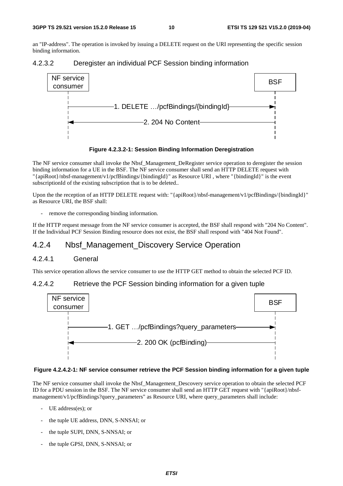an "IP-address". The operation is invoked by issuing a DELETE request on the URI representing the specific session binding information.







The NF service consumer shall invoke the Nbsf\_Management\_DeRegister service operation to deregister the session binding information for a UE in the BSF. The NF service consumer shall send an HTTP DELETE request with "{apiRoot}/nbsf-management/v1/pcfBindings/{bindingId}" as Resource URI , where "{bindingId}" is the event subscriptionId of the existing subscription that is to be deleted..

Upon the the reception of an HTTP DELETE request with: "{apiRoot}/nbsf-management/v1/pcfBindings/{bindingId}" as Resource URI, the BSF shall:

remove the corresponding binding information.

If the HTTP request message from the NF service consumer is accepted, the BSF shall respond with "204 No Content". If the Individual PCF Session Binding resource does not exist, the BSF shall respond with "404 Not Found".

## 4.2.4 Nbsf\_Management\_Discovery Service Operation

#### 4.2.4.1 General

This service operation allows the service consumer to use the HTTP GET method to obtain the selected PCF ID.

#### 4.2.4.2 Retrieve the PCF Session binding information for a given tuple



#### **Figure 4.2.4.2-1: NF service consumer retrieve the PCF Session binding information for a given tuple**

The NF service consumer shall invoke the Nbsf\_Management\_Descovery service operation to obtain the selected PCF ID for a PDU session in the BSF. The NF service consumer shall send an HTTP GET request with "{apiRoot}/nbsfmanagement/v1/pcfBindings?query\_parameters" as Resource URI, where query\_parameters shall include:

- UE address(es); or
- the tuple UE address, DNN, S-NNSAI; or
- the tuple SUPI, DNN, S-NNSAI; or
- the tuple GPSI, DNN, S-NNSAI; or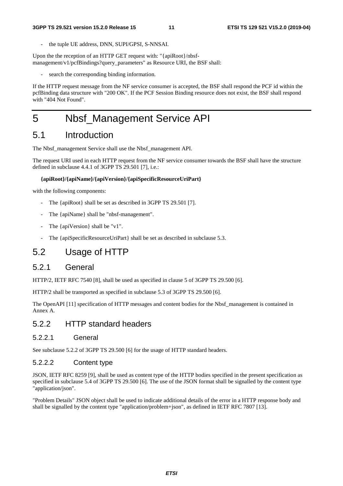the tuple UE address, DNN, SUPI/GPSI, S-NNSAI.

Upon the the reception of an HTTP GET request with: "{apiRoot}/nbsfmanagement/v1/pcfBindings?query\_parameters" as Resource URI, the BSF shall:

search the corresponding binding information.

If the HTTP request message from the NF service consumer is accepted, the BSF shall respond the PCF id within the pcfBinding data structure with "200 OK". If the PCF Session Binding resource does not exist, the BSF shall respond with "404 Not Found".

## 5 Nbsf\_Management Service API

### 5.1 Introduction

The Nbsf\_management Service shall use the Nbsf\_management API.

The request URI used in each HTTP request from the NF service consumer towards the BSF shall have the structure defined in subclause 4.4.1 of 3GPP TS 29.501 [7], i.e.:

#### **{apiRoot}/{apiName}/{apiVersion}/{apiSpecificResourceUriPart}**

with the following components:

- The {apiRoot} shall be set as described in 3GPP TS 29.501 [7].
- The {apiName} shall be "nbsf-management".
- The {apiVersion} shall be "v1".
- The {apiSpecificResourceUriPart} shall be set as described in subclause 5.3.

## 5.2 Usage of HTTP

#### 5.2.1 General

HTTP/2, IETF RFC 7540 [8], shall be used as specified in clause 5 of 3GPP TS 29.500 [6].

HTTP/2 shall be transported as specified in subclause 5.3 of 3GPP TS 29.500 [6].

The OpenAPI [11] specification of HTTP messages and content bodies for the Nbsf\_management is contained in Annex A.

### 5.2.2 HTTP standard headers

#### 5.2.2.1 General

See subclause 5.2.2 of 3GPP TS 29.500 [6] for the usage of HTTP standard headers.

#### 5.2.2.2 Content type

JSON, IETF RFC 8259 [9], shall be used as content type of the HTTP bodies specified in the present specification as specified in subclause 5.4 of 3GPP TS 29.500 [6]. The use of the JSON format shall be signalled by the content type "application/json".

"Problem Details" JSON object shall be used to indicate additional details of the error in a HTTP response body and shall be signalled by the content type "application/problem+json", as defined in IETF RFC 7807 [13].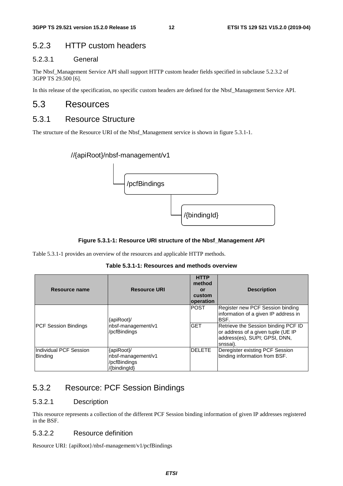### 5.2.3 HTTP custom headers

#### 5.2.3.1 General

The Nbsf\_Management Service API shall support HTTP custom header fields specified in subclause 5.2.3.2 of 3GPP TS 29.500 [6].

In this release of the specification, no specific custom headers are defined for the Nbsf\_Management Service API.

### 5.3 Resources

### 5.3.1 Resource Structure

The structure of the Resource URI of the Nbsf\_Management service is shown in figure 5.3.1-1.

#### //{apiRoot}/nbsf-management/v1



#### **Figure 5.3.1-1: Resource URI structure of the Nbsf\_Management API**

Table 5.3.1-1 provides an overview of the resources and applicable HTTP methods.

**Table 5.3.1-1: Resources and methods overview** 

| <b>Resource name</b>                     | <b>Resource URI</b>                                              | <b>HTTP</b><br>method<br>or<br>custom<br><b>operation</b> | <b>Description</b>                                                                                                                                            |
|------------------------------------------|------------------------------------------------------------------|-----------------------------------------------------------|---------------------------------------------------------------------------------------------------------------------------------------------------------------|
| <b>PCF Session Bindings</b>              | {apiRoot}/<br>nbsf-management/v1<br>/pcfBindings                 | <b>POST</b><br><b>GET</b>                                 | Register new PCF Session binding<br>information of a given IP address in<br>BSF.<br>Retrieve the Session binding PCF ID<br>or address of a given tuple (UE IP |
| Individual PCF Session<br><b>Binding</b> | {apiRoot}/<br>nbsf-management/v1<br>/pcfBindings<br>/{bindingld} | <b>DELETE</b>                                             | address(es), SUPI; GPSI, DNN,<br>snssai).<br>Deregister existing PCF Session<br>binding information from BSF.                                                 |

## 5.3.2 Resource: PCF Session Bindings

#### 5.3.2.1 Description

This resource represents a collection of the different PCF Session binding information of given IP addresses registered in the BSF.

#### 5.3.2.2 Resource definition

Resource URI: {apiRoot}/nbsf-management/v1/pcfBindings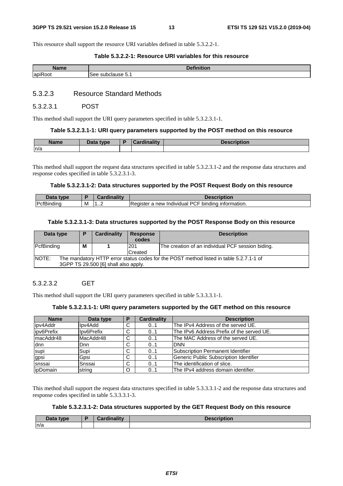This resource shall support the resource URI variables defined in table 5.3.2.2-1.

#### **Table 5.3.2.2-1: Resource URI variables for this resource**

| ⊸Nam                                | <b>Continued and</b> |
|-------------------------------------|----------------------|
| Name                                | NUOL.                |
| $\cdot$ $-$<br>lapik<br>$-$<br>.OOT | subclause 5.1<br>See |

#### 5.3.2.3 Resource Standard Methods

#### 5.3.2.3.1 POST

This method shall support the URI query parameters specified in table 5.3.2.3.1-1.

#### **Table 5.3.2.3.1-1: URI query parameters supported by the POST method on this resource**

| <b>Name</b> | Data type | <b>Cardinality</b><br>odi Ulli | Description |
|-------------|-----------|--------------------------------|-------------|
| n/a         |           |                                |             |

This method shall support the request data structures specified in table 5.3.2.3.1-2 and the response data structures and response codes specified in table 5.3.2.3.1-3.

#### **Table 5.3.2.3.1-2: Data structures supported by the POST Request Body on this resource**

| .<br><b>VDE</b>                        |   | .<br>i va militar | <b><i><u>Allandian Contracts</u></i></b>                                                                           |
|----------------------------------------|---|-------------------|--------------------------------------------------------------------------------------------------------------------|
| P <sub>cfRi</sub><br>ndinc<br>3ır<br>u | м | - -<br>. <u>.</u> | Register<br>,ں<br>binding<br>≅tormation.<br>ınto<br>new<br><b>Individual</b><br>-<br>ັ<br>$\overline{\phantom{a}}$ |

#### **Table 5.3.2.3.1-3: Data structures supported by the POST Response Body on this resource**

| Data type                                                                                              | D | Cardinality | <b>Response</b> | <b>Description</b>                                |
|--------------------------------------------------------------------------------------------------------|---|-------------|-----------------|---------------------------------------------------|
|                                                                                                        |   |             | codes           |                                                   |
| PcfBinding                                                                                             | M |             | 201             | The creation of an individual PCF session biding. |
|                                                                                                        |   |             | <b>Created</b>  |                                                   |
| <b>NOTE:</b><br>The mandatory HTTP error status codes for the POST method listed in table 5.2.7.1-1 of |   |             |                 |                                                   |
| 3GPP TS 29.500 [6] shall also apply.                                                                   |   |             |                 |                                                   |

#### 5.3.2.3.2 GET

This method shall support the URI query parameters specified in table 5.3.3.3.1-1.

#### **Table 5.3.2.3.1-1: URI query parameters supported by the GET method on this resource**

| <b>Name</b> | Data type   |    | <b>Cardinality</b> | <b>Description</b>                        |
|-------------|-------------|----|--------------------|-------------------------------------------|
| lipv4Addr   | lpv4Add     | C  | 01                 | The IPv4 Address of the served UE.        |
| lipv6Prefix | Ilpv6Prefix | C  | 0.1                | The IPv6 Address Prefix of the served UE. |
| macAddr48   | MacAddr48   | C  | 0.1                | The MAC Address of the served UE.         |
| <b>d</b> nn | Dnn         | C. | 0.1                | <b>DNN</b>                                |
| supi        | Supi        | C  | 0.1                | <b>ISubscription Permanent Identifier</b> |
| gpsi        | Gpsi        | C  | 01                 | Generic Public Subscription Identifier    |
| snssai      | Snssai      | C  | 0.1                | The identification of slice.              |
| ipDomain    | string      | O  | 01                 | The IPv4 address domain identifier.       |

This method shall support the request data structures specified in table 5.3.3.3.1-2 and the response data structures and response codes specified in table 5.3.3.3.1-3.

#### **Table 5.3.2.3.1-2: Data structures supported by the GET Request Body on this resource**

| Data type | Cardinality | <b>Description</b> |
|-----------|-------------|--------------------|
| ∣n/a      |             |                    |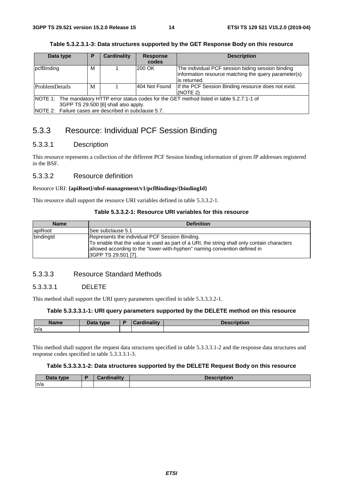| Data type                                                                                     | <b>Cardinality</b><br>P                               |  | <b>Response</b> | <b>Description</b>                                   |  |  |
|-----------------------------------------------------------------------------------------------|-------------------------------------------------------|--|-----------------|------------------------------------------------------|--|--|
|                                                                                               |                                                       |  | codes           |                                                      |  |  |
| pcfBinding                                                                                    | м                                                     |  | 200 OK          | The individual PCF session biding session binding    |  |  |
|                                                                                               |                                                       |  |                 | information resource matching the query parameter(s) |  |  |
|                                                                                               |                                                       |  |                 | lis returned.                                        |  |  |
| ProblemDetails                                                                                | M                                                     |  | 404 Not Found   | If the PCF Session Binding resource does not exist.  |  |  |
|                                                                                               |                                                       |  |                 | (NOTE 2)                                             |  |  |
| NOTE 1: The mandatory HTTP error status codes for the GET method listed in table 5.2.7.1-1 of |                                                       |  |                 |                                                      |  |  |
| 3GPP TS 29.500 [6] shall also apply.                                                          |                                                       |  |                 |                                                      |  |  |
|                                                                                               | NOTE 2: Failure cases are described in subclause 5.7. |  |                 |                                                      |  |  |

#### **Table 5.3.2.3.1-3: Data structures supported by the GET Response Body on this resource**

### 5.3.3 Resource: Individual PCF Session Binding

#### 5.3.3.1 Description

This resource represents a collection of the different PCF Session binding information of given IP addresses registered in the BSF.

#### 5.3.3.2 Resource definition

#### Resource URI: **{apiRoot}/nbsf-management/v1/pcfBindings/{bindingId}**

This resource shall support the resource URI variables defined in table 5.3.3.2-1.

#### **Table 5.3.3.2-1: Resource URI variables for this resource**

| <b>Name</b> | <b>Definition</b>                                                                           |
|-------------|---------------------------------------------------------------------------------------------|
| apiRoot     | See subclause 5.1                                                                           |
| bindingld   | Represents the individual PCF Session Binding.                                              |
|             | To enable that the value is used as part of a URI, the string shall only contain characters |
|             | allowed according to the "lower-with-hyphen" naming convention defined in                   |
|             | 3GPP TS 29.501 [7].                                                                         |

#### 5.3.3.3 Resource Standard Methods

#### 5.3.3.3.1 DELETE

This method shall support the URI query parameters specified in table 5.3.3.3.2-1.

#### **Table 5.3.3.3.1-1: URI query parameters supported by the DELETE method on this resource**

| Name | Data type | Cardinalitv | escription |
|------|-----------|-------------|------------|
| n/a  |           |             |            |

This method shall support the request data structures specified in table 5.3.3.3.1-2 and the response data structures and response codes specified in table 5.3.3.3.1-3.

#### **Table 5.3.3.3.1-2: Data structures supported by the DELETE Request Body on this resource**

| Data type | Cardinalitv | <b>Description</b> |
|-----------|-------------|--------------------|
| n/a       |             |                    |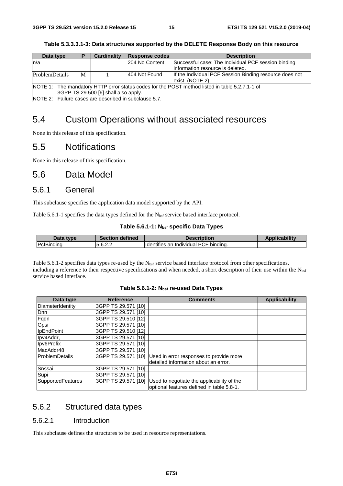| Data type                                                                                                                              | в | Cardinality | Response codes | <b>Description</b>                                                                       |  |  |
|----------------------------------------------------------------------------------------------------------------------------------------|---|-------------|----------------|------------------------------------------------------------------------------------------|--|--|
| ln/a                                                                                                                                   |   |             | 204 No Content | Successful case: The Individual PCF session binding<br>linformation resource is deleted. |  |  |
| ProblemDetails                                                                                                                         | M |             | 404 Not Found  | If the Individual PCF Session Binding resource does not<br>exist. (NOTE 2)               |  |  |
| NOTE 1: The mandatory HTTP error status codes for the POST method listed in table 5.2.7.1-1 of<br>3GPP TS 29.500 [6] shall also apply. |   |             |                |                                                                                          |  |  |
| NIOTE O. - Estima proposa sua desputivada contratamente <del>e</del> <del>e</del>                                                      |   |             |                |                                                                                          |  |  |

**Table 5.3.3.3.1-3: Data structures supported by the DELETE Response Body on this resource** 

NOTE 2: Failure cases are described in subclause 5.7.

## 5.4 Custom Operations without associated resources

None in this release of this specification.

### 5.5 Notifications

None in this release of this specification.

## 5.6 Data Model

#### 5.6.1 General

This subclause specifies the application data model supported by the API.

Table 5.6.1-1 specifies the data types defined for the  $N_{\text{bsf}}$  service based interface protocol.

#### Table 5.6.1-1: N<sub>bsf</sub> specific Data Types

| Data type          | <b>Section defined</b> | <b>Description</b>                    | Applicability |
|--------------------|------------------------|---------------------------------------|---------------|
| <b>IPcfBinding</b> | 5.6.2.2                | Identifies an Individual PCF binding. |               |

Table 5.6.1-2 specifies data types re-used by the  $N_{\text{bsf}}$  service based interface protocol from other specifications, including a reference to their respective specifications and when needed, a short description of their use within the  $N_{\text{bsf}}$ service based interface.

#### Table 5.6.1-2: N<sub>bsf</sub> re-used Data Types

| Data type                | <b>Reference</b>    | <b>Comments</b>                            | <b>Applicability</b> |
|--------------------------|---------------------|--------------------------------------------|----------------------|
| DiameterIdentity         | 3GPP TS 29.571 [10] |                                            |                      |
| Dnn                      | 3GPP TS 29.571 [10] |                                            |                      |
| Fqdn                     | 3GPP TS 29.510 [12] |                                            |                      |
| Gpsi                     | 3GPP TS 29.571 [10] |                                            |                      |
| IpEndPoint               | 3GPP TS 29.510 [12] |                                            |                      |
| Ipv4Addr,                | 3GPP TS 29.571 [10] |                                            |                      |
| Ipv6Prefix               | 3GPP TS 29.571 [10] |                                            |                      |
| MacAddr48                | 3GPP TS 29.571 [10] |                                            |                      |
| <b>ProblemDetails</b>    | 3GPP TS 29.571 [10] | Used in error responses to provide more    |                      |
|                          |                     | detailed information about an error.       |                      |
| Snssai                   | 3GPP TS 29.571 [10] |                                            |                      |
| Supi                     | 3GPP TS 29.571 [10] |                                            |                      |
| <b>SupportedFeatures</b> | 3GPP TS 29.571 [10] | Used to negotiate the applicability of the |                      |
|                          |                     | optional features defined in table 5.8-1.  |                      |

### 5.6.2 Structured data types

#### 5.6.2.1 Introduction

This subclause defines the structures to be used in resource representations.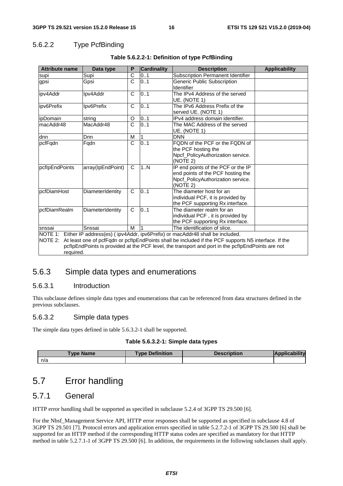#### 5.6.2.2 Type PcfBinding

| <b>Attribute name</b>                                                                                                                                                                                                                                                                                                  | Data type         | P            | <b>Cardinality</b> | <b>Description</b>                                                                                                       | <b>Applicability</b> |  |
|------------------------------------------------------------------------------------------------------------------------------------------------------------------------------------------------------------------------------------------------------------------------------------------------------------------------|-------------------|--------------|--------------------|--------------------------------------------------------------------------------------------------------------------------|----------------------|--|
| supi                                                                                                                                                                                                                                                                                                                   | Supi              | C            | 0.1                | Subscription Permanent Identifier                                                                                        |                      |  |
| gpsi                                                                                                                                                                                                                                                                                                                   | Gpsi              | C            | 0.1                | <b>Generic Public Subscription</b><br>Identifier                                                                         |                      |  |
| ipv4Addr                                                                                                                                                                                                                                                                                                               | Ipv4Addr          | $\mathsf{C}$ | 0.1                | The IPv4 Address of the served<br>UE. (NOTE 1)                                                                           |                      |  |
| ipv6Prefix                                                                                                                                                                                                                                                                                                             | Ipv6Prefix        | C            | 01                 | The IPv6 Address Prefix of the<br>served UE. (NOTE 1)                                                                    |                      |  |
| <i>ipDomain</i>                                                                                                                                                                                                                                                                                                        | string            | O            | 01                 | IPv4 address domain identifier.                                                                                          |                      |  |
| macAddr48                                                                                                                                                                                                                                                                                                              | MacAddr48         | $\mathsf{C}$ | 01                 | The MAC Address of the served<br>UE. (NOTE 1)                                                                            |                      |  |
| dnn                                                                                                                                                                                                                                                                                                                    | Dnn               | M            |                    | <b>DNN</b>                                                                                                               |                      |  |
| pcfFqdn                                                                                                                                                                                                                                                                                                                | Fqdn              | C            | 0.1                | FQDN of the PCF or the FQDN of<br>the PCF hosting the<br>Npcf PolicyAuthorization service.<br>(NOTE 2)                   |                      |  |
| pcflpEndPoints                                                                                                                                                                                                                                                                                                         | array(IpEndPoint) | C            | 1N                 | IP end points of the PCF or the IP<br>end points of the PCF hosting the<br>Npcf_PolicyAuthorization service.<br>(NOTE 2) |                      |  |
| pcfDiamHost                                                                                                                                                                                                                                                                                                            | DiameterIdentity  | C            | $\overline{0}$ 1   | The diameter host for an<br>individual PCF, it is provided by<br>the PCF supporting Rx interface.                        |                      |  |
| pcfDiamRealm                                                                                                                                                                                                                                                                                                           | DiameterIdentity  | $\mathsf{C}$ | 0.1                | The diameter realm for an<br>individual PCF, it is provided by<br>the PCF supporting Rx interface.                       |                      |  |
| snssai                                                                                                                                                                                                                                                                                                                 | Snssai            | M            |                    | The identification of slice.                                                                                             |                      |  |
| NOTE 1: Either IP address(es) (ipv4Addr, ipv6Prefix) or macAddr48 shall be included.<br>NOTE 2: At least one of pcfFqdn or pcfIpEndPoints shall be included if the PCF supports N5 interface. If the<br>pcflpEndPoints is provided at the PCF level, the transport and port in the pcflpEndPoints are not<br>required. |                   |              |                    |                                                                                                                          |                      |  |

#### **Table 5.6.2.2-1: Definition of type PcfBinding**

### 5.6.3 Simple data types and enumerations

#### 5.6.3.1 Introduction

This subclause defines simple data types and enumerations that can be referenced from data structures defined in the previous subclauses.

#### 5.6.3.2 Simple data types

The simple data types defined in table 5.6.3.2-1 shall be supported.

#### **Table 5.6.3.2-1: Simple data types**

| Type Name | <b>Type Definition</b> | <b>Description</b> | <b>Applicabi</b> |
|-----------|------------------------|--------------------|------------------|
| n/a       |                        |                    |                  |

## 5.7 Error handling

### 5.7.1 General

HTTP error handling shall be supported as specified in subclause 5.2.4 of 3GPP TS 29.500 [6].

For the Nbsf\_Management Service API, HTTP error responses shall be supported as specified in subclause 4.8 of 3GPP TS 29.501 [7]. Protocol errors and application errors specified in table 5.2.7.2-1 of 3GPP TS 29.500 [6] shall be supported for an HTTP method if the corresponding HTTP status codes are specified as mandatory for that HTTP method in table 5.2.7.1-1 of 3GPP TS 29.500 [6]. In addition, the requirements in the following subclauses shall apply.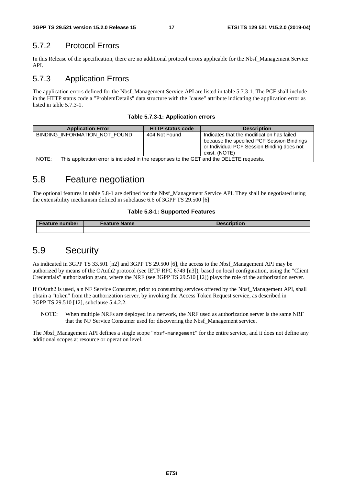### 5.7.2 Protocol Errors

In this Release of the specification, there are no additional protocol errors applicable for the Nbsf\_Management Service API.

### 5.7.3 Application Errors

The application errors defined for the Nbsf\_Management Service API are listed in table 5.7.3-1. The PCF shall include in the HTTP status code a "ProblemDetails" data structure with the "cause" attribute indicating the application error as listed in table 5.7.3-1.

**Table 5.7.3-1: Application errors** 

| <b>Application Error</b>      | <b>HTTP status code</b>                                                                 | <b>Description</b>                                                                                                                                      |  |  |  |  |  |
|-------------------------------|-----------------------------------------------------------------------------------------|---------------------------------------------------------------------------------------------------------------------------------------------------------|--|--|--|--|--|
| BINDING INFORMATION NOT FOUND | 404 Not Found                                                                           | Indicates that the modification has failed<br>because the specified PCF Session Bindings<br>or Individual PCF Session Binding does not<br>exist. (NOTE) |  |  |  |  |  |
| NOTE:                         | This application error is included in the responses to the GET and the DELETE requests. |                                                                                                                                                         |  |  |  |  |  |

## 5.8 Feature negotiation

The optional features in table 5.8-1 are defined for the Nbsf\_Management Service API. They shall be negotiated using the extensibility mechanism defined in subclause 6.6 of 3GPP TS 29.500 [6].

#### **Table 5.8-1: Supported Features**

| <b>Feature number</b> | Feature Name | Description |
|-----------------------|--------------|-------------|
|                       |              |             |

## 5.9 Security

As indicated in 3GPP TS 33.501 [n2] and 3GPP TS 29.500 [6], the access to the Nbsf\_Management API may be authorized by means of the OAuth2 protocol (see IETF RFC 6749 [n3]), based on local configuration, using the "Client Credentials" authorization grant, where the NRF (see 3GPP TS 29.510 [12]) plays the role of the authorization server.

If OAuth2 is used, a n NF Service Consumer, prior to consuming services offered by the Nbsf\_Management API, shall obtain a "token" from the authorization server, by invoking the Access Token Request service, as described in 3GPP TS 29.510 [12], subclause 5.4.2.2.

NOTE: When multiple NRFs are deployed in a network, the NRF used as authorization server is the same NRF that the NF Service Consumer used for discovering the Nbsf\_Management service.

The Nbsf Management API defines a single scope "nbsf-management" for the entire service, and it does not define any additional scopes at resource or operation level.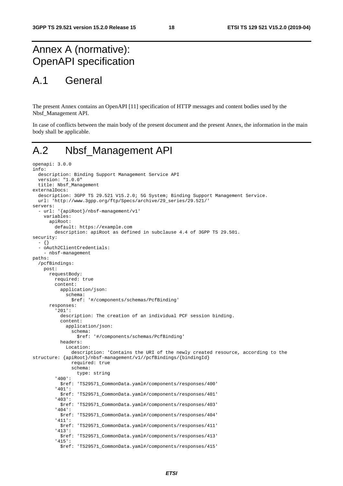## Annex A (normative): OpenAPI specification

## A.1 General

The present Annex contains an OpenAPI [11] specification of HTTP messages and content bodies used by the Nbsf\_Management API.

In case of conflicts between the main body of the present document and the present Annex, the information in the main body shall be applicable.

## A.2 Nbsf\_Management API

```
openapi: 3.0.0 
info: 
   description: Binding Support Management Service API 
   version: "1.0.0" 
   title: Nbsf_Management 
externalDocs: 
   description: 3GPP TS 29.521 V15.2.0; 5G System; Binding Support Management Service. 
   url: 'http://www.3gpp.org/ftp/Specs/archive/29_series/29.521/' 
servers: 
   - url: '{apiRoot}/nbsf-management/v1' 
     variables: 
       apiRoot: 
         default: https://example.com 
         description: apiRoot as defined in subclause 4.4 of 3GPP TS 29.501. 
security: 
   - {} 
   - oAuth2ClientCredentials: 
     - nbsf-management 
paths: 
   /pcfBindings: 
     post: 
       requestBody: 
         required: true 
         content: 
           application/json: 
              schema: 
                $ref: '#/components/schemas/PcfBinding' 
       responses: 
          '201': 
           description: The creation of an individual PCF session binding. 
           content: 
              application/json: 
                schema: 
                  $ref: '#/components/schemas/PcfBinding' 
           headers: 
              Location: 
                description: 'Contains the URI of the newly created resource, according to the 
structure: {apiRoot}/nbsf-management/v1//pcfBindings/{bindingId} 
                required: true 
                schema: 
                  type: string 
          '400': 
            $ref: 'TS29571_CommonData.yaml#/components/responses/400' 
          '401': 
           $ref: 'TS29571_CommonData.yaml#/components/responses/401' 
          '403': 
            $ref: 'TS29571_CommonData.yaml#/components/responses/403' 
          '404': 
           $ref: 'TS29571_CommonData.yaml#/components/responses/404' 
          '411': 
            $ref: 'TS29571_CommonData.yaml#/components/responses/411' 
          '413': 
           $ref: 'TS29571_CommonData.yaml#/components/responses/413' 
          '415': 
            $ref: 'TS29571_CommonData.yaml#/components/responses/415'
```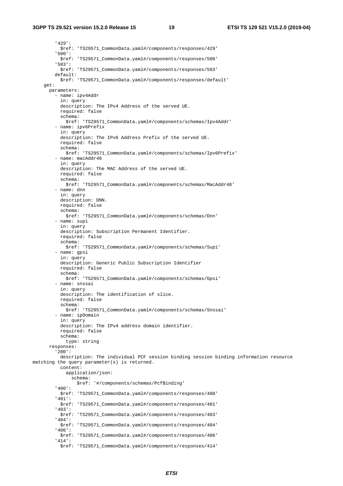#### **3GPP TS 29.521 version 15.2.0 Release 15 19 ETSI TS 129 521 V15.2.0 (2019-04)**

 '429': \$ref: 'TS29571\_CommonData.yaml#/components/responses/429' '500': \$ref: 'TS29571\_CommonData.yaml#/components/responses/500' '503': \$ref: 'TS29571\_CommonData.yaml#/components/responses/503' default: \$ref: 'TS29571\_CommonData.yaml#/components/responses/default' get: parameters: - name: ipv4Addr in: query description: The IPv4 Address of the served UE. required: false schema: \$ref: 'TS29571\_CommonData.yaml#/components/schemas/Ipv4Addr' - name: ipv6Prefix in: query description: The IPv6 Address Prefix of the served UE. required: false schema: \$ref: 'TS29571\_CommonData.yaml#/components/schemas/Ipv6Prefix' - name: macAddr48 in: query description: The MAC Address of the served UE. required: false schema: \$ref: 'TS29571\_CommonData.yaml#/components/schemas/MacAddr48' - name: dnn in: query description: DNN. required: false schema: \$ref: 'TS29571\_CommonData.yaml#/components/schemas/Dnn' - name: supi in: query description: Subscription Permanent Identifier. required: false schema: \$ref: 'TS29571\_CommonData.yaml#/components/schemas/Supi' - name: gpsi in: query description: Generic Public Subscription Identifier required: false schema: \$ref: 'TS29571\_CommonData.yaml#/components/schemas/Gpsi' - name: snssai in: query description: The identification of slice. required: false schema: \$ref: 'TS29571\_CommonData.yaml#/components/schemas/Snssai' - name: ipDomain in: query description: The IPv4 address domain identifier. required: false schema: type: string responses: '200': description: The individual PCF session binding session binding information resource matching the query parameter(s) is returned. content: application/json: schema: \$ref: '#/components/schemas/PcfBinding' '400': \$ref: 'TS29571\_CommonData.yaml#/components/responses/400' '401': \$ref: 'TS29571\_CommonData.yaml#/components/responses/401' '403': \$ref: 'TS29571\_CommonData.yaml#/components/responses/403' '404': \$ref: 'TS29571\_CommonData.yaml#/components/responses/404' '406': \$ref: 'TS29571\_CommonData.yaml#/components/responses/406' '414': \$ref: 'TS29571\_CommonData.yaml#/components/responses/414'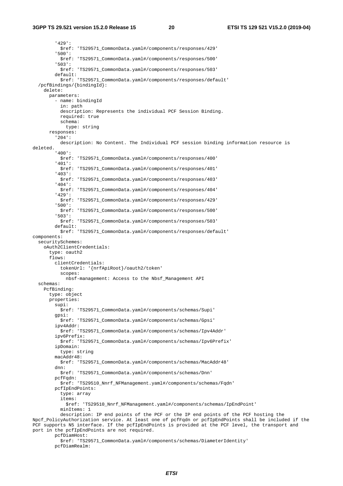#### **3GPP TS 29.521 version 15.2.0 Release 15 20 ETSI TS 129 521 V15.2.0 (2019-04)**

 '429': \$ref: 'TS29571\_CommonData.yaml#/components/responses/429' '500': \$ref: 'TS29571\_CommonData.yaml#/components/responses/500' '503': \$ref: 'TS29571\_CommonData.yaml#/components/responses/503' default: \$ref: 'TS29571\_CommonData.yaml#/components/responses/default' /pcfBindings/{bindingId}: delete: parameters: - name: bindingId in: path description: Represents the individual PCF Session Binding. required: true schema: type: string responses: '204': description: No Content. The Individual PCF session binding information resource is deleted. '400': \$ref: 'TS29571\_CommonData.yaml#/components/responses/400' '401': \$ref: 'TS29571\_CommonData.yaml#/components/responses/401' '403': \$ref: 'TS29571\_CommonData.yaml#/components/responses/403' '404': \$ref: 'TS29571\_CommonData.yaml#/components/responses/404' '429': \$ref: 'TS29571\_CommonData.yaml#/components/responses/429' '500': \$ref: 'TS29571\_CommonData.yaml#/components/responses/500' '503': \$ref: 'TS29571\_CommonData.yaml#/components/responses/503' default: \$ref: 'TS29571\_CommonData.yaml#/components/responses/default' components: securitySchemes: oAuth2ClientCredentials: type: oauth2 flows: clientCredentials: tokenUrl: '{nrfApiRoot}/oauth2/token' scopes: nbsf-management: Access to the Nbsf\_Management API schemas: PcfBinding: type: object properties: supi: \$ref: 'TS29571\_CommonData.yaml#/components/schemas/Supi' gpsi: \$ref: 'TS29571\_CommonData.yaml#/components/schemas/Gpsi' ipv4Addr: .<br>\$ref: 'TS29571 CommonData.yaml#/components/schemas/Ipv4Addr' ipv6Prefix: \$ref: 'TS29571\_CommonData.yaml#/components/schemas/Ipv6Prefix' ipDomain: type: string macAddr48: \$ref: 'TS29571\_CommonData.yaml#/components/schemas/MacAddr48' dnn: \$ref: 'TS29571\_CommonData.yaml#/components/schemas/Dnn' pcfFqdn: \$ref: 'TS29510\_Nnrf\_NFManagement.yaml#/components/schemas/Fqdn' pcfIpEndPoints: type: array items: \$ref: 'TS29510\_Nnrf\_NFManagement.yaml#/components/schemas/IpEndPoint' minItems: 1 description: IP end points of the PCF or the IP end points of the PCF hosting the Npcf\_PolicyAuthorization service. At least one of pcfFqdn or pcfIpEndPoints shall be included if the PCF supports N5 interface. If the pcfIpEndPoints is provided at the PCF level, the transport and port in the pcfIpEndPoints are not required. pcfDiamHost:

 \$ref: 'TS29571\_CommonData.yaml#/components/schemas/DiameterIdentity' pcfDiamRealm: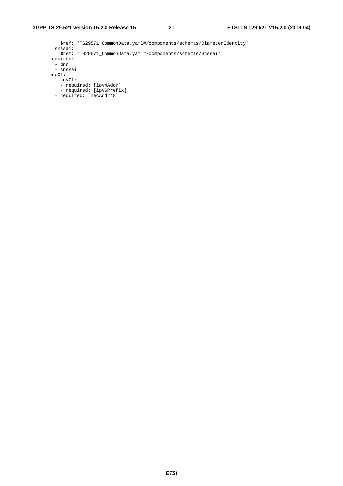\$ref: 'TS29571\_CommonData.yaml#/components/schemas/DiameterIdentity' snssai: \$ref: 'TS29571\_CommonData.yaml#/components/schemas/Snssai' required: - dnn - snssai oneOf: - anyOf: - required: [ipv4Addr] - required: [ipv6Prefix] - required: [macAddr48]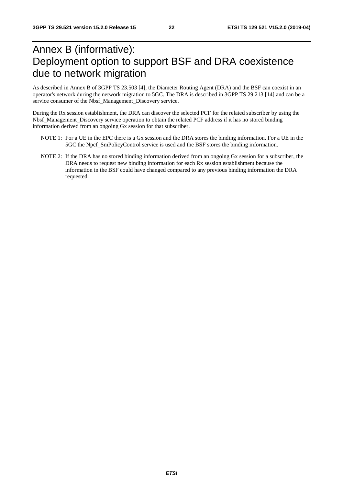## Annex B (informative): Deployment option to support BSF and DRA coexistence due to network migration

As described in Annex B of 3GPP TS 23.503 [4], the Diameter Routing Agent (DRA) and the BSF can coexist in an operator's network during the network migration to 5GC. The DRA is described in 3GPP TS 29.213 [14] and can be a service consumer of the Nbsf\_Management\_Discovery service.

During the Rx session establishment, the DRA can discover the selected PCF for the related subscriber by using the Nbsf\_Management\_Discovery service operation to obtain the related PCF address if it has no stored binding information derived from an ongoing Gx session for that subscriber.

- NOTE 1: For a UE in the EPC there is a Gx session and the DRA stores the binding information. For a UE in the 5GC the Npcf\_SmPolicyControl service is used and the BSF stores the binding information.
- NOTE 2: If the DRA has no stored binding information derived from an ongoing Gx session for a subscriber, the DRA needs to request new binding information for each Rx session establishment because the information in the BSF could have changed compared to any previous binding information the DRA requested.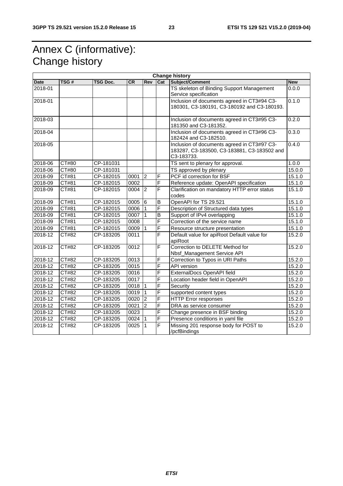## Annex C (informative): Change history

| <b>Change history</b> |                     |                 |      |                 |                         |                                                                                            |            |  |
|-----------------------|---------------------|-----------------|------|-----------------|-------------------------|--------------------------------------------------------------------------------------------|------------|--|
| <b>Date</b>           | TSG#                | <b>TSG Doc.</b> | CR   | <b>Rev</b>      | Cat                     | Subject/Comment                                                                            | <b>New</b> |  |
| 2018-01               |                     |                 |      |                 |                         | TS skeleton of Binding Support Management                                                  | 0.0.0      |  |
|                       |                     |                 |      |                 |                         | Service specification                                                                      |            |  |
| 2018-01               |                     |                 |      |                 |                         | Inclusion of documents agreed in CT3#94 C3-                                                | 0.1.0      |  |
|                       |                     |                 |      |                 |                         | 180301, C3-180191, C3-180192 and C3-180193.                                                |            |  |
| 2018-03               |                     |                 |      |                 |                         | Inclusion of documents agreed in CT3#95 C3-                                                | 0.2.0      |  |
|                       |                     |                 |      |                 |                         | 181350 and C3-181352.                                                                      |            |  |
| 2018-04               |                     |                 |      |                 |                         | Inclusion of documents agreed in CT3#96 C3-                                                | 0.3.0      |  |
|                       |                     |                 |      |                 |                         | 182424 and C3-182510.                                                                      |            |  |
| 2018-05               |                     |                 |      |                 |                         | Inclusion of documents agreed in CT3#97 C3-<br>183287, C3-183500, C3-183881, C3-183502 and | 0.4.0      |  |
|                       |                     |                 |      |                 |                         | C3-183733.                                                                                 |            |  |
| 2018-06               | CT#80               | CP-181031       |      |                 |                         | TS sent to plenary for approval.                                                           | 1.0.0      |  |
| 2018-06               | $\overline{C}$ T#80 | CP-181031       |      |                 |                         | TS approved by plenary                                                                     | 15.0.0     |  |
| 2018-09               | CT#81               | CP-182015       | 0001 | $\overline{2}$  | F                       | PCF id correction for BSF                                                                  | 15.1.0     |  |
| 2018-09               | CT#81               | CP-182015       | 0002 |                 | F                       | Reference update: OpenAPI specification                                                    | 15.1.0     |  |
| 2018-09               | CT#81               | CP-182015       | 0004 | $\overline{2}$  | $\overline{\mathsf{F}}$ | Clarification on mandatory HTTP error status                                               | 15.1.0     |  |
|                       |                     |                 |      |                 |                         | codes                                                                                      |            |  |
| 2018-09               | CT#81               | CP-182015       | 0005 | $6\overline{6}$ | B                       | OpenAPI for TS 29.521                                                                      | 15.1.0     |  |
| 2018-09               | CT#81               | CP-182015       | 0006 | $\mathbf{1}$    | F                       | Description of Structured data types                                                       | 15.1.0     |  |
| 2018-09               | CT#81               | CP-182015       | 0007 |                 | $\overline{B}$          | Support of IPv4 overlapping                                                                | 15.1.0     |  |
| 2018-09               | CT#81               | CP-182015       | 0008 |                 | F                       | Correction of the service name                                                             | 15.1.0     |  |
| 2018-09               | CT#81               | CP-182015       | 0009 | $\mathbf 1$     | F                       | Resource structure presentation                                                            | 15.1.0     |  |
| 2018-12               | CT#82               | CP-183205       | 0011 |                 | $\overline{\mathsf{F}}$ | Default value for apiRoot Default value for<br>apiRoot                                     | 15.2.0     |  |
| 2018-12               | <b>CT#82</b>        | CP-183205       | 0012 |                 | F                       | Correction to DELETE Method for                                                            | 15.2.0     |  |
|                       |                     |                 |      |                 |                         | Nbsf_Management Service API                                                                |            |  |
| 2018-12               | CT#82               | CP-183205       | 0013 |                 | F                       | Correction to Typos in URI Paths                                                           | 15.2.0     |  |
| 2018-12               | CT#82               | CP-183205       | 0015 |                 | $\overline{\mathsf{F}}$ | <b>API</b> version                                                                         | 15.2.0     |  |
| 2018-12               | CT#82               | CP-183205       | 0016 |                 | F                       | ExternalDocs OpenAPI field                                                                 | 15.2.0     |  |
| 2018-12               | CT#82               | CP-183205       | 0017 |                 | $\overline{\mathsf{F}}$ | Location header field in OpenAPI                                                           | 15.2.0     |  |
| 2018-12               | CT#82               | CP-183205       | 0018 | $\mathbf 1$     | F                       | Security                                                                                   | 15.2.0     |  |
| 2018-12               | CT#82               | CP-183205       | 0019 | $\mathbf{1}$    | F                       | supported content types                                                                    | 15.2.0     |  |
| 2018-12               | CT#82               | CP-183205       | 0020 | $\mathbf{c}$    | F                       | <b>HTTP Error responses</b>                                                                | 15.2.0     |  |
| 2018-12               | CT#82               | CP-183205       | 0021 | $\overline{2}$  | F                       | DRA as service consumer                                                                    | 15.2.0     |  |
| 2018-12               | CT#82               | CP-183205       | 0023 |                 | $\overline{\mathsf{F}}$ | Change presence in BSF binding                                                             | 15.2.0     |  |
| 2018-12               | CT#82               | CP-183205       | 0024 | $\vert$ 1       | F                       | Presence conditions in yaml file                                                           | 15.2.0     |  |
| 2018-12               | CT#82               | CP-183205       | 0025 | ∣1              | $\overline{F}$          | Missing 201 response body for POST to<br>/pcfBindings                                      | 15.2.0     |  |
|                       |                     |                 |      |                 |                         |                                                                                            |            |  |